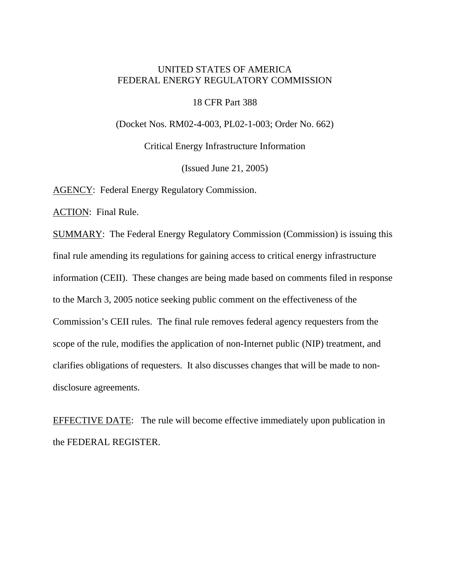# UNITED STATES OF AMERICA FEDERAL ENERGY REGULATORY COMMISSION

### 18 CFR Part 388

(Docket Nos. RM02-4-003, PL02-1-003; Order No. 662)

Critical Energy Infrastructure Information

(Issued June 21, 2005)

AGENCY: Federal Energy Regulatory Commission.

ACTION: Final Rule.

SUMMARY: The Federal Energy Regulatory Commission (Commission) is issuing this final rule amending its regulations for gaining access to critical energy infrastructure information (CEII). These changes are being made based on comments filed in response to the March 3, 2005 notice seeking public comment on the effectiveness of the Commission's CEII rules. The final rule removes federal agency requesters from the scope of the rule, modifies the application of non-Internet public (NIP) treatment, and clarifies obligations of requesters. It also discusses changes that will be made to nondisclosure agreements.

EFFECTIVE DATE: The rule will become effective immediately upon publication in the FEDERAL REGISTER.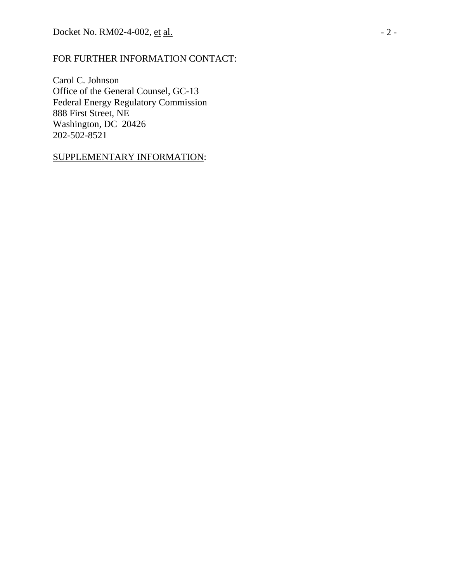# FOR FURTHER INFORMATION CONTACT:

Carol C. Johnson Office of the General Counsel, GC-13 Federal Energy Regulatory Commission 888 First Street, NE Washington, DC 20426 202-502-8521

## SUPPLEMENTARY INFORMATION: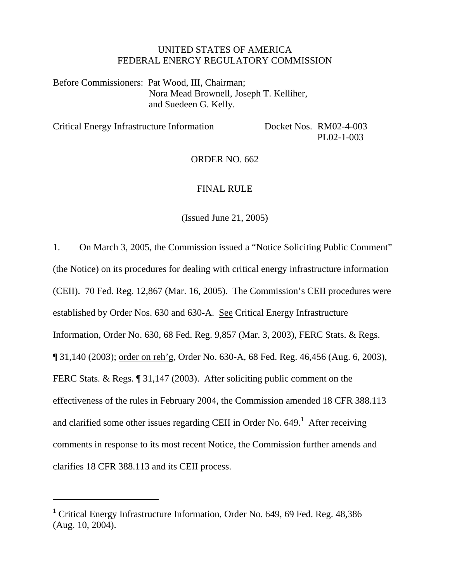### UNITED STATES OF AMERICA FEDERAL ENERGY REGULATORY COMMISSION

Before Commissioners: Pat Wood, III, Chairman; Nora Mead Brownell, Joseph T. Kelliher, and Suedeen G. Kelly.

Critical Energy Infrastructure Information Docket Nos. RM02-4-003

PL02-1-003

ORDER NO. 662

### FINAL RULE

(Issued June 21, 2005)

1. On March 3, 2005, the Commission issued a "Notice Soliciting Public Comment" (the Notice) on its procedures for dealing with critical energy infrastructure information (CEII). 70 Fed. Reg. 12,867 (Mar. 16, 2005). The Commission's CEII procedures were established by Order Nos. 630 and 630-A. See Critical Energy Infrastructure Information, Order No. 630, 68 Fed. Reg. 9,857 (Mar. 3, 2003), FERC Stats. & Regs. ¶ 31,140 (2003); order on reh'g, Order No. 630-A, 68 Fed. Reg. 46,456 (Aug. 6, 2003), FERC Stats. & Regs. [9] 31,147 (2003). After soliciting public comment on the effectiveness of the rules in February 2004, the Commission amended 18 CFR 388.113 and clarified some other issues regarding CEII in Order No. 649.**<sup>1</sup>** After receiving comments in response to its most recent Notice, the Commission further amends and clarifies 18 CFR 388.113 and its CEII process.

**<sup>1</sup>** Critical Energy Infrastructure Information, Order No. 649, 69 Fed. Reg. 48,386 (Aug. 10, 2004).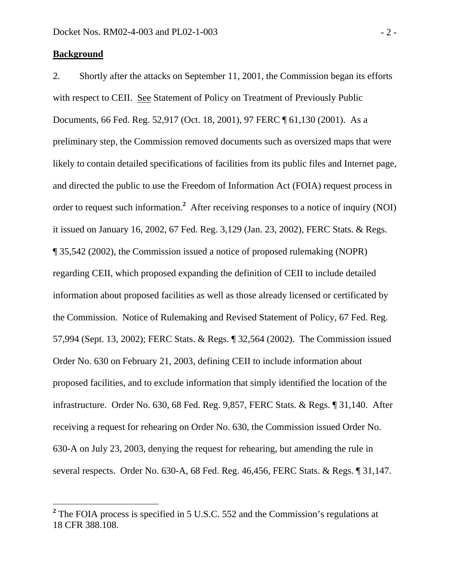### **Background**

 $\overline{a}$ 

2. Shortly after the attacks on September 11, 2001, the Commission began its efforts with respect to CEII. See Statement of Policy on Treatment of Previously Public Documents, 66 Fed. Reg. 52,917 (Oct. 18, 2001), 97 FERC ¶ 61,130 (2001). As a preliminary step, the Commission removed documents such as oversized maps that were likely to contain detailed specifications of facilities from its public files and Internet page, and directed the public to use the Freedom of Information Act (FOIA) request process in order to request such information.<sup>2</sup> After receiving responses to a notice of inquiry (NOI) it issued on January 16, 2002, 67 Fed. Reg. 3,129 (Jan. 23, 2002), FERC Stats. & Regs. ¶ 35,542 (2002), the Commission issued a notice of proposed rulemaking (NOPR) regarding CEII, which proposed expanding the definition of CEII to include detailed information about proposed facilities as well as those already licensed or certificated by the Commission. Notice of Rulemaking and Revised Statement of Policy, 67 Fed. Reg. 57,994 (Sept. 13, 2002); FERC Stats. & Regs. ¶ 32,564 (2002). The Commission issued Order No. 630 on February 21, 2003, defining CEII to include information about proposed facilities, and to exclude information that simply identified the location of the infrastructure. Order No. 630, 68 Fed. Reg. 9,857, FERC Stats. & Regs. ¶ 31,140. After receiving a request for rehearing on Order No. 630, the Commission issued Order No. 630-A on July 23, 2003, denying the request for rehearing, but amending the rule in several respects. Order No. 630-A, 68 Fed. Reg. 46,456, FERC Stats. & Regs. ¶ 31,147.

<sup>&</sup>lt;sup>2</sup> The FOIA process is specified in 5 U.S.C. 552 and the Commission's regulations at 18 CFR 388.108.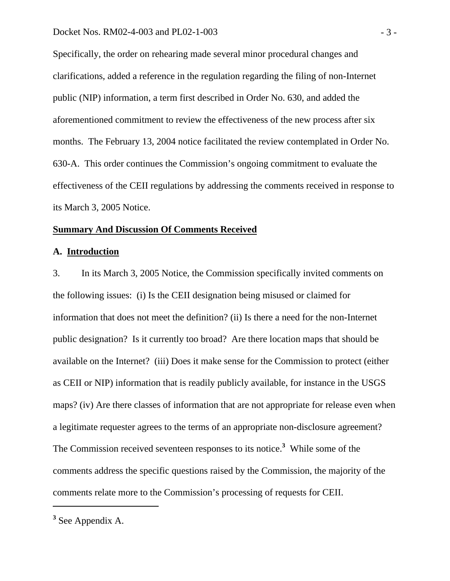Specifically, the order on rehearing made several minor procedural changes and clarifications, added a reference in the regulation regarding the filing of non-Internet public (NIP) information, a term first described in Order No. 630, and added the aforementioned commitment to review the effectiveness of the new process after six months. The February 13, 2004 notice facilitated the review contemplated in Order No. 630-A. This order continues the Commission's ongoing commitment to evaluate the effectiveness of the CEII regulations by addressing the comments received in response to its March 3, 2005 Notice.

#### **Summary And Discussion Of Comments Received**

### **A. Introduction**

3. In its March 3, 2005 Notice, the Commission specifically invited comments on the following issues: (i) Is the CEII designation being misused or claimed for information that does not meet the definition? (ii) Is there a need for the non-Internet public designation? Is it currently too broad? Are there location maps that should be available on the Internet? (iii) Does it make sense for the Commission to protect (either as CEII or NIP) information that is readily publicly available, for instance in the USGS maps? (iv) Are there classes of information that are not appropriate for release even when a legitimate requester agrees to the terms of an appropriate non-disclosure agreement? The Commission received seventeen responses to its notice.**<sup>3</sup>** While some of the comments address the specific questions raised by the Commission, the majority of the comments relate more to the Commission's processing of requests for CEII.

**<sup>3</sup>** See Appendix A.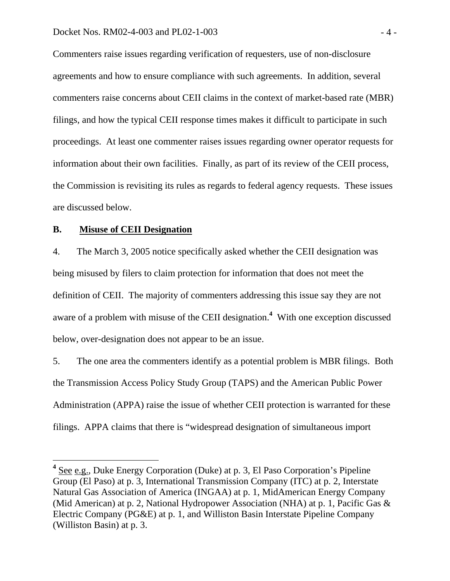Commenters raise issues regarding verification of requesters, use of non-disclosure agreements and how to ensure compliance with such agreements. In addition, several commenters raise concerns about CEII claims in the context of market-based rate (MBR) filings, and how the typical CEII response times makes it difficult to participate in such proceedings. At least one commenter raises issues regarding owner operator requests for information about their own facilities. Finally, as part of its review of the CEII process, the Commission is revisiting its rules as regards to federal agency requests. These issues are discussed below.

### **B. Misuse of CEII Designation**

 $\overline{a}$ 

4. The March 3, 2005 notice specifically asked whether the CEII designation was being misused by filers to claim protection for information that does not meet the definition of CEII. The majority of commenters addressing this issue say they are not aware of a problem with misuse of the CEII designation.**<sup>4</sup>** With one exception discussed below, over-designation does not appear to be an issue.

5. The one area the commenters identify as a potential problem is MBR filings. Both the Transmission Access Policy Study Group (TAPS) and the American Public Power Administration (APPA) raise the issue of whether CEII protection is warranted for these filings. APPA claims that there is "widespread designation of simultaneous import

<sup>&</sup>lt;sup>4</sup> See e.g., Duke Energy Corporation (Duke) at p. 3, El Paso Corporation's Pipeline Group (El Paso) at p. 3, International Transmission Company (ITC) at p. 2, Interstate Natural Gas Association of America (INGAA) at p. 1, MidAmerican Energy Company (Mid American) at p. 2, National Hydropower Association (NHA) at p. 1, Pacific Gas & Electric Company (PG&E) at p. 1, and Williston Basin Interstate Pipeline Company (Williston Basin) at p. 3.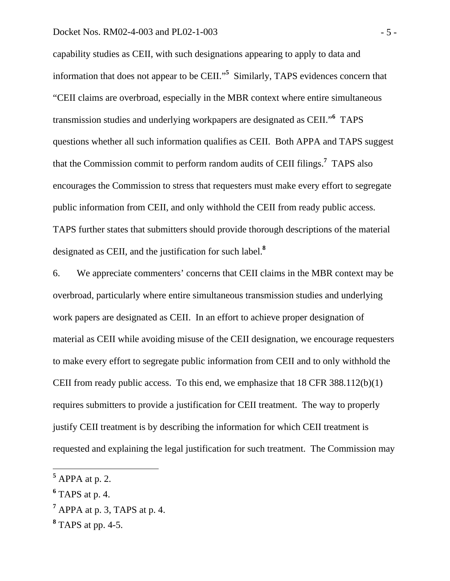#### Docket Nos. RM02-4-003 and PL02-1-003 - 5 -

capability studies as CEII, with such designations appearing to apply to data and information that does not appear to be CEII."**<sup>5</sup>** Similarly, TAPS evidences concern that "CEII claims are overbroad, especially in the MBR context where entire simultaneous transmission studies and underlying workpapers are designated as CEII."**<sup>6</sup>** TAPS questions whether all such information qualifies as CEII. Both APPA and TAPS suggest that the Commission commit to perform random audits of CEII filings.**<sup>7</sup>** TAPS also encourages the Commission to stress that requesters must make every effort to segregate public information from CEII, and only withhold the CEII from ready public access. TAPS further states that submitters should provide thorough descriptions of the material designated as CEII, and the justification for such label.**<sup>8</sup>**

6. We appreciate commenters' concerns that CEII claims in the MBR context may be overbroad, particularly where entire simultaneous transmission studies and underlying work papers are designated as CEII. In an effort to achieve proper designation of material as CEII while avoiding misuse of the CEII designation, we encourage requesters to make every effort to segregate public information from CEII and to only withhold the CEII from ready public access. To this end, we emphasize that 18 CFR 388.112(b)(1) requires submitters to provide a justification for CEII treatment. The way to properly justify CEII treatment is by describing the information for which CEII treatment is requested and explaining the legal justification for such treatment. The Commission may

**<sup>5</sup>** APPA at p. 2.

**<sup>6</sup>** TAPS at p. 4.

**<sup>7</sup>** APPA at p. 3, TAPS at p. 4.

**<sup>8</sup>** TAPS at pp. 4-5.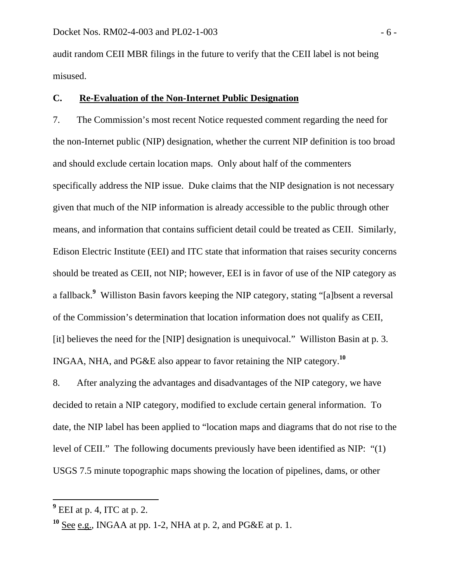audit random CEII MBR filings in the future to verify that the CEII label is not being misused.

### **C. Re-Evaluation of the Non-Internet Public Designation**

7. The Commission's most recent Notice requested comment regarding the need for the non-Internet public (NIP) designation, whether the current NIP definition is too broad and should exclude certain location maps. Only about half of the commenters specifically address the NIP issue. Duke claims that the NIP designation is not necessary given that much of the NIP information is already accessible to the public through other means, and information that contains sufficient detail could be treated as CEII. Similarly, Edison Electric Institute (EEI) and ITC state that information that raises security concerns should be treated as CEII, not NIP; however, EEI is in favor of use of the NIP category as a fallback.**<sup>9</sup>** Williston Basin favors keeping the NIP category, stating "[a]bsent a reversal of the Commission's determination that location information does not qualify as CEII, [it] believes the need for the [NIP] designation is unequivocal." Williston Basin at p. 3. INGAA, NHA, and PG&E also appear to favor retaining the NIP category.**<sup>10</sup>**

8. After analyzing the advantages and disadvantages of the NIP category, we have decided to retain a NIP category, modified to exclude certain general information. To date, the NIP label has been applied to "location maps and diagrams that do not rise to the level of CEII." The following documents previously have been identified as NIP: "(1) USGS 7.5 minute topographic maps showing the location of pipelines, dams, or other

**<sup>9</sup>** EEI at p. 4, ITC at p. 2.

**<sup>10</sup>** See e.g., INGAA at pp. 1-2, NHA at p. 2, and PG&E at p. 1.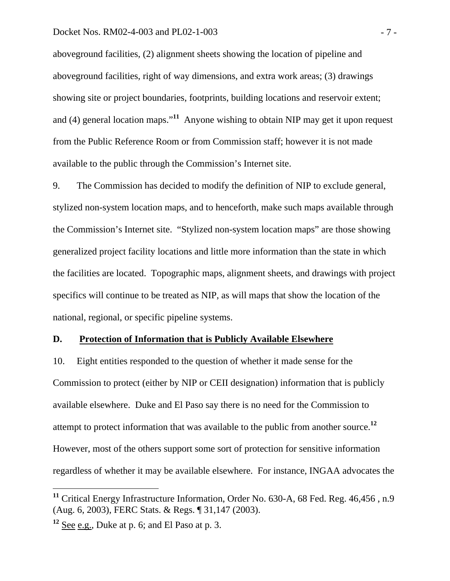#### Docket Nos. RM02-4-003 and PL02-1-003 - 7 -

aboveground facilities, (2) alignment sheets showing the location of pipeline and aboveground facilities, right of way dimensions, and extra work areas; (3) drawings showing site or project boundaries, footprints, building locations and reservoir extent; and (4) general location maps."**<sup>11</sup>** Anyone wishing to obtain NIP may get it upon request from the Public Reference Room or from Commission staff; however it is not made available to the public through the Commission's Internet site.

9. The Commission has decided to modify the definition of NIP to exclude general, stylized non-system location maps, and to henceforth, make such maps available through the Commission's Internet site. "Stylized non-system location maps" are those showing generalized project facility locations and little more information than the state in which the facilities are located. Topographic maps, alignment sheets, and drawings with project specifics will continue to be treated as NIP, as will maps that show the location of the national, regional, or specific pipeline systems.

### **D. Protection of Information that is Publicly Available Elsewhere**

10. Eight entities responded to the question of whether it made sense for the Commission to protect (either by NIP or CEII designation) information that is publicly available elsewhere. Duke and El Paso say there is no need for the Commission to attempt to protect information that was available to the public from another source.**<sup>12</sup>** However, most of the others support some sort of protection for sensitive information regardless of whether it may be available elsewhere. For instance, INGAA advocates the

**<sup>11</sup>** Critical Energy Infrastructure Information, Order No. 630-A, 68 Fed. Reg. 46,456 , n.9 (Aug. 6, 2003), FERC Stats. & Regs. ¶ 31,147 (2003).

**<sup>12</sup>** See e.g., Duke at p. 6; and El Paso at p. 3.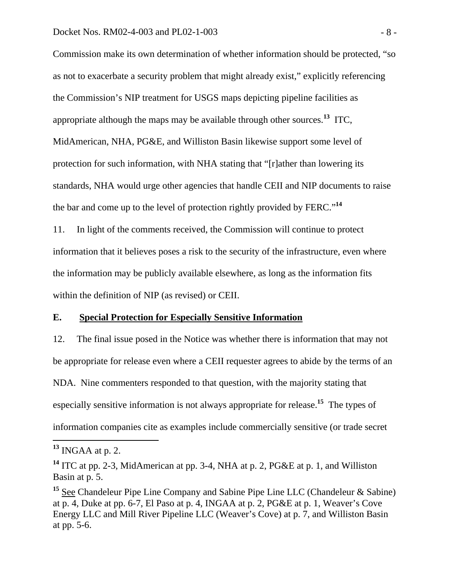#### Docket Nos. RM02-4-003 and PL02-1-003 - 8 -

Commission make its own determination of whether information should be protected, "so as not to exacerbate a security problem that might already exist," explicitly referencing the Commission's NIP treatment for USGS maps depicting pipeline facilities as appropriate although the maps may be available through other sources.**<sup>13</sup>** ITC, MidAmerican, NHA, PG&E, and Williston Basin likewise support some level of protection for such information, with NHA stating that "[r]ather than lowering its standards, NHA would urge other agencies that handle CEII and NIP documents to raise the bar and come up to the level of protection rightly provided by FERC."**<sup>14</sup>**

11. In light of the comments received, the Commission will continue to protect information that it believes poses a risk to the security of the infrastructure, even where the information may be publicly available elsewhere, as long as the information fits within the definition of NIP (as revised) or CEII.

### **E. Special Protection for Especially Sensitive Information**

12. The final issue posed in the Notice was whether there is information that may not be appropriate for release even where a CEII requester agrees to abide by the terms of an NDA. Nine commenters responded to that question, with the majority stating that especially sensitive information is not always appropriate for release.**<sup>15</sup>** The types of information companies cite as examples include commercially sensitive (or trade secret

**<sup>13</sup>** INGAA at p. 2.

**<sup>14</sup>** ITC at pp. 2-3, MidAmerican at pp. 3-4, NHA at p. 2, PG&E at p. 1, and Williston Basin at p. 5.

<sup>&</sup>lt;sup>15</sup> See Chandeleur Pipe Line Company and Sabine Pipe Line LLC (Chandeleur & Sabine) at p. 4, Duke at pp. 6-7, El Paso at p. 4, INGAA at p. 2, PG&E at p. 1, Weaver's Cove Energy LLC and Mill River Pipeline LLC (Weaver's Cove) at p. 7, and Williston Basin at pp. 5-6.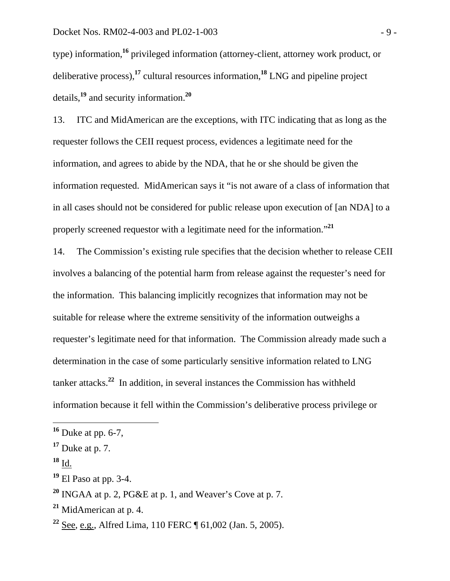type) information,**<sup>16</sup>** privileged information (attorney-client, attorney work product, or deliberative process),**<sup>17</sup>** cultural resources information,**<sup>18</sup>** LNG and pipeline project details,**<sup>19</sup>** and security information.**<sup>20</sup>**

13. ITC and MidAmerican are the exceptions, with ITC indicating that as long as the requester follows the CEII request process, evidences a legitimate need for the information, and agrees to abide by the NDA, that he or she should be given the information requested. MidAmerican says it "is not aware of a class of information that in all cases should not be considered for public release upon execution of [an NDA] to a properly screened requestor with a legitimate need for the information."**<sup>21</sup>**

14. The Commission's existing rule specifies that the decision whether to release CEII involves a balancing of the potential harm from release against the requester's need for the information. This balancing implicitly recognizes that information may not be suitable for release where the extreme sensitivity of the information outweighs a requester's legitimate need for that information. The Commission already made such a determination in the case of some particularly sensitive information related to LNG tanker attacks.**<sup>22</sup>** In addition, in several instances the Commission has withheld information because it fell within the Commission's deliberative process privilege or

**<sup>18</sup>** Id.

**<sup>16</sup>** Duke at pp. 6-7,

**<sup>17</sup>** Duke at p. 7.

**<sup>19</sup>** El Paso at pp. 3-4.

**<sup>20</sup>** INGAA at p. 2, PG&E at p. 1, and Weaver's Cove at p. 7.

**<sup>21</sup>** MidAmerican at p. 4.

**<sup>22</sup>** See, e.g., Alfred Lima, 110 FERC ¶ 61,002 (Jan. 5, 2005).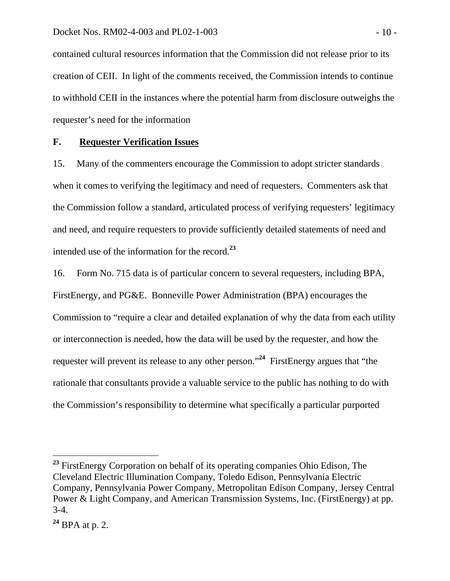contained cultural resources information that the Commission did not release prior to its creation of CEII. In light of the comments received, the Commission intends to continue to withhold CEII in the instances where the potential harm from disclosure outweighs the requester's need for the information

#### **F. Requester Verification Issues**

15. Many of the commenters encourage the Commission to adopt stricter standards when it comes to verifying the legitimacy and need of requesters. Commenters ask that the Commission follow a standard, articulated process of verifying requesters' legitimacy and need, and require requesters to provide sufficiently detailed statements of need and intended use of the information for the record.**<sup>23</sup>**

16. Form No. 715 data is of particular concern to several requesters, including BPA, FirstEnergy, and PG&E. Bonneville Power Administration (BPA) encourages the Commission to "require a clear and detailed explanation of why the data from each utility or interconnection is needed, how the data will be used by the requester, and how the requester will prevent its release to any other person."**<sup>24</sup>** FirstEnergy argues that "the rationale that consultants provide a valuable service to the public has nothing to do with the Commission's responsibility to determine what specifically a particular purported

**<sup>23</sup>** FirstEnergy Corporation on behalf of its operating companies Ohio Edison, The Cleveland Electric Illumination Company, Toledo Edison, Pennsylvania Electric Company, Pennsylvania Power Company, Metropolitan Edison Company, Jersey Central Power & Light Company, and American Transmission Systems, Inc. (FirstEnergy) at pp. 3-4.

**<sup>24</sup>** BPA at p. 2.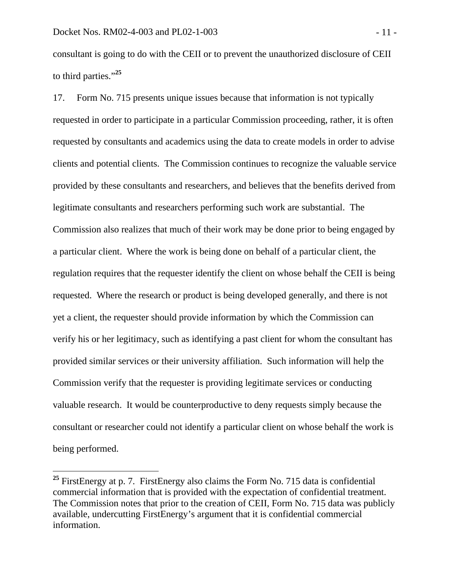$\overline{a}$ 

consultant is going to do with the CEII or to prevent the unauthorized disclosure of CEII to third parties."**<sup>25</sup>**

17. Form No. 715 presents unique issues because that information is not typically requested in order to participate in a particular Commission proceeding, rather, it is often requested by consultants and academics using the data to create models in order to advise clients and potential clients. The Commission continues to recognize the valuable service provided by these consultants and researchers, and believes that the benefits derived from legitimate consultants and researchers performing such work are substantial. The Commission also realizes that much of their work may be done prior to being engaged by a particular client. Where the work is being done on behalf of a particular client, the regulation requires that the requester identify the client on whose behalf the CEII is being requested. Where the research or product is being developed generally, and there is not yet a client, the requester should provide information by which the Commission can verify his or her legitimacy, such as identifying a past client for whom the consultant has provided similar services or their university affiliation. Such information will help the Commission verify that the requester is providing legitimate services or conducting valuable research. It would be counterproductive to deny requests simply because the consultant or researcher could not identify a particular client on whose behalf the work is being performed.

<sup>&</sup>lt;sup>25</sup> FirstEnergy at p. 7. FirstEnergy also claims the Form No. 715 data is confidential commercial information that is provided with the expectation of confidential treatment. The Commission notes that prior to the creation of CEII, Form No. 715 data was publicly available, undercutting FirstEnergy's argument that it is confidential commercial information.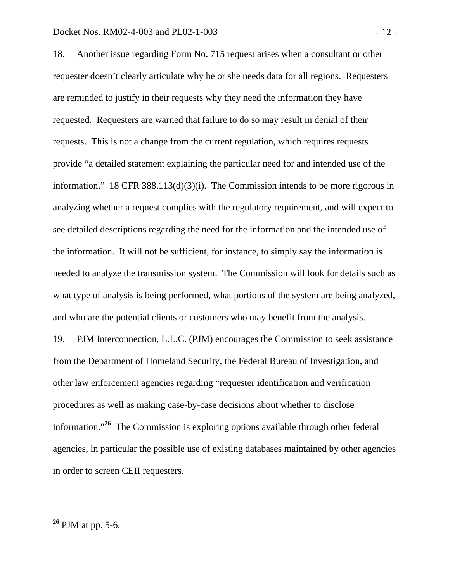#### Docket Nos. RM02-4-003 and PL02-1-003 - 2 -

18. Another issue regarding Form No. 715 request arises when a consultant or other requester doesn't clearly articulate why he or she needs data for all regions. Requesters are reminded to justify in their requests why they need the information they have requested. Requesters are warned that failure to do so may result in denial of their requests. This is not a change from the current regulation, which requires requests provide "a detailed statement explaining the particular need for and intended use of the information." 18 CFR 388.113(d)(3)(i). The Commission intends to be more rigorous in analyzing whether a request complies with the regulatory requirement, and will expect to see detailed descriptions regarding the need for the information and the intended use of the information. It will not be sufficient, for instance, to simply say the information is needed to analyze the transmission system. The Commission will look for details such as what type of analysis is being performed, what portions of the system are being analyzed, and who are the potential clients or customers who may benefit from the analysis.

19. PJM Interconnection, L.L.C. (PJM) encourages the Commission to seek assistance from the Department of Homeland Security, the Federal Bureau of Investigation, and other law enforcement agencies regarding "requester identification and verification procedures as well as making case-by-case decisions about whether to disclose information."**<sup>26</sup>** The Commission is exploring options available through other federal agencies, in particular the possible use of existing databases maintained by other agencies in order to screen CEII requesters.

**<sup>26</sup>** PJM at pp. 5-6.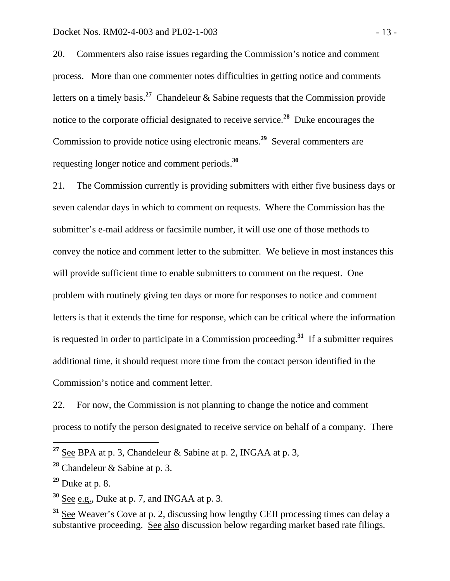20. Commenters also raise issues regarding the Commission's notice and comment process. More than one commenter notes difficulties in getting notice and comments letters on a timely basis.**<sup>27</sup>** Chandeleur & Sabine requests that the Commission provide notice to the corporate official designated to receive service.**<sup>28</sup>** Duke encourages the Commission to provide notice using electronic means.**<sup>29</sup>** Several commenters are requesting longer notice and comment periods.**<sup>30</sup>**

21. The Commission currently is providing submitters with either five business days or seven calendar days in which to comment on requests. Where the Commission has the submitter's e-mail address or facsimile number, it will use one of those methods to convey the notice and comment letter to the submitter. We believe in most instances this will provide sufficient time to enable submitters to comment on the request. One problem with routinely giving ten days or more for responses to notice and comment letters is that it extends the time for response, which can be critical where the information is requested in order to participate in a Commission proceeding.**<sup>31</sup>** If a submitter requires additional time, it should request more time from the contact person identified in the Commission's notice and comment letter.

22. For now, the Commission is not planning to change the notice and comment process to notify the person designated to receive service on behalf of a company. There

**<sup>27</sup>** See BPA at p. 3, Chandeleur & Sabine at p. 2, INGAA at p. 3,

**<sup>28</sup>** Chandeleur & Sabine at p. 3.

**<sup>29</sup>** Duke at p. 8.

**<sup>30</sup>** See e.g., Duke at p. 7, and INGAA at p. 3.

**<sup>31</sup>** See Weaver's Cove at p. 2, discussing how lengthy CEII processing times can delay a substantive proceeding. See also discussion below regarding market based rate filings.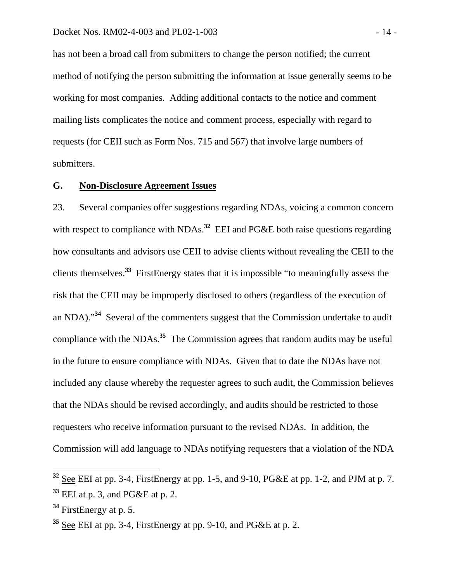has not been a broad call from submitters to change the person notified; the current method of notifying the person submitting the information at issue generally seems to be working for most companies. Adding additional contacts to the notice and comment mailing lists complicates the notice and comment process, especially with regard to requests (for CEII such as Form Nos. 715 and 567) that involve large numbers of submitters.

#### **G. Non-Disclosure Agreement Issues**

23. Several companies offer suggestions regarding NDAs, voicing a common concern with respect to compliance with NDAs.<sup>32</sup> EEI and PG&E both raise questions regarding how consultants and advisors use CEII to advise clients without revealing the CEII to the clients themselves.**<sup>33</sup>** FirstEnergy states that it is impossible "to meaningfully assess the risk that the CEII may be improperly disclosed to others (regardless of the execution of an NDA)."**<sup>34</sup>** Several of the commenters suggest that the Commission undertake to audit compliance with the NDAs.**<sup>35</sup>** The Commission agrees that random audits may be useful in the future to ensure compliance with NDAs. Given that to date the NDAs have not included any clause whereby the requester agrees to such audit, the Commission believes that the NDAs should be revised accordingly, and audits should be restricted to those requesters who receive information pursuant to the revised NDAs. In addition, the Commission will add language to NDAs notifying requesters that a violation of the NDA

**<sup>32</sup>** See EEI at pp. 3-4, FirstEnergy at pp. 1-5, and 9-10, PG&E at pp. 1-2, and PJM at p. 7. **<sup>33</sup>** EEI at p. 3, and PG&E at p. 2.

**<sup>34</sup>** FirstEnergy at p. 5.

**<sup>35</sup>** See EEI at pp. 3-4, FirstEnergy at pp. 9-10, and PG&E at p. 2.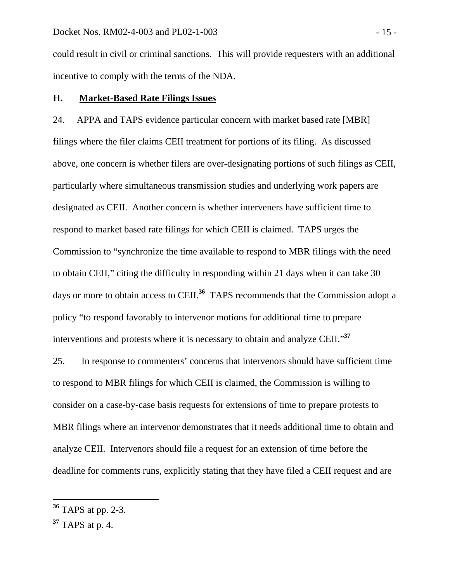could result in civil or criminal sanctions. This will provide requesters with an additional incentive to comply with the terms of the NDA.

### **H. Market-Based Rate Filings Issues**

24. APPA and TAPS evidence particular concern with market based rate [MBR] filings where the filer claims CEII treatment for portions of its filing. As discussed above, one concern is whether filers are over-designating portions of such filings as CEII, particularly where simultaneous transmission studies and underlying work papers are designated as CEII. Another concern is whether interveners have sufficient time to respond to market based rate filings for which CEII is claimed. TAPS urges the Commission to "synchronize the time available to respond to MBR filings with the need to obtain CEII," citing the difficulty in responding within 21 days when it can take 30 days or more to obtain access to CEII.<sup>36</sup> TAPS recommends that the Commission adopt a policy "to respond favorably to intervenor motions for additional time to prepare interventions and protests where it is necessary to obtain and analyze CEII."**<sup>37</sup>**

25. In response to commenters' concerns that intervenors should have sufficient time to respond to MBR filings for which CEII is claimed, the Commission is willing to consider on a case-by-case basis requests for extensions of time to prepare protests to MBR filings where an intervenor demonstrates that it needs additional time to obtain and analyze CEII. Intervenors should file a request for an extension of time before the deadline for comments runs, explicitly stating that they have filed a CEII request and are

**<sup>36</sup>** TAPS at pp. 2-3.

**<sup>37</sup>** TAPS at p. 4.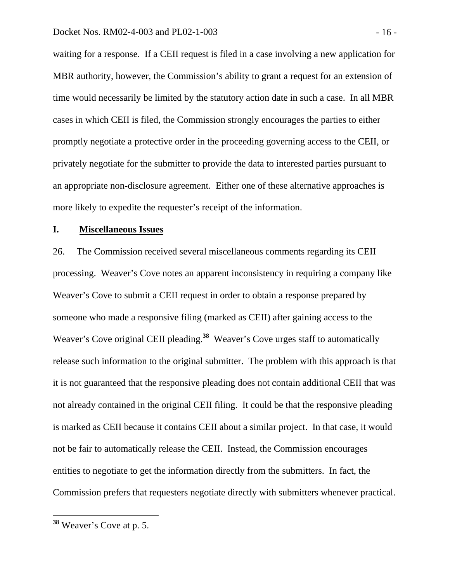waiting for a response. If a CEII request is filed in a case involving a new application for MBR authority, however, the Commission's ability to grant a request for an extension of time would necessarily be limited by the statutory action date in such a case. In all MBR cases in which CEII is filed, the Commission strongly encourages the parties to either promptly negotiate a protective order in the proceeding governing access to the CEII, or privately negotiate for the submitter to provide the data to interested parties pursuant to an appropriate non-disclosure agreement. Either one of these alternative approaches is more likely to expedite the requester's receipt of the information.

#### **I. Miscellaneous Issues**

26. The Commission received several miscellaneous comments regarding its CEII processing. Weaver's Cove notes an apparent inconsistency in requiring a company like Weaver's Cove to submit a CEII request in order to obtain a response prepared by someone who made a responsive filing (marked as CEII) after gaining access to the Weaver's Cove original CEII pleading.**<sup>38</sup>** Weaver's Cove urges staff to automatically release such information to the original submitter. The problem with this approach is that it is not guaranteed that the responsive pleading does not contain additional CEII that was not already contained in the original CEII filing. It could be that the responsive pleading is marked as CEII because it contains CEII about a similar project. In that case, it would not be fair to automatically release the CEII. Instead, the Commission encourages entities to negotiate to get the information directly from the submitters. In fact, the Commission prefers that requesters negotiate directly with submitters whenever practical.

**<sup>38</sup>** Weaver's Cove at p. 5.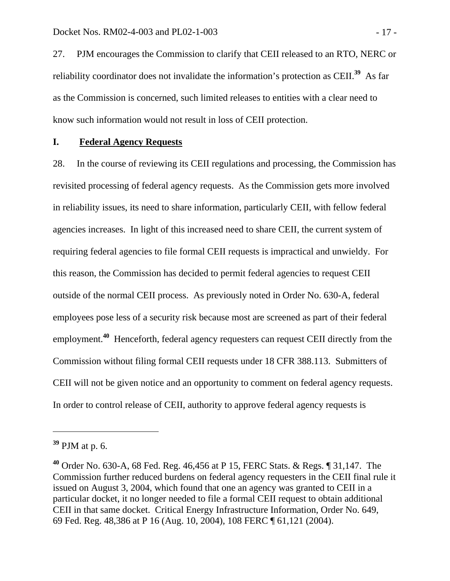27. PJM encourages the Commission to clarify that CEII released to an RTO, NERC or reliability coordinator does not invalidate the information's protection as CEII.**<sup>39</sup>** As far as the Commission is concerned, such limited releases to entities with a clear need to know such information would not result in loss of CEII protection.

### **I. Federal Agency Requests**

28. In the course of reviewing its CEII regulations and processing, the Commission has revisited processing of federal agency requests. As the Commission gets more involved in reliability issues, its need to share information, particularly CEII, with fellow federal agencies increases. In light of this increased need to share CEII, the current system of requiring federal agencies to file formal CEII requests is impractical and unwieldy. For this reason, the Commission has decided to permit federal agencies to request CEII outside of the normal CEII process. As previously noted in Order No. 630-A, federal employees pose less of a security risk because most are screened as part of their federal employment.**<sup>40</sup>** Henceforth, federal agency requesters can request CEII directly from the Commission without filing formal CEII requests under 18 CFR 388.113. Submitters of CEII will not be given notice and an opportunity to comment on federal agency requests. In order to control release of CEII, authority to approve federal agency requests is

**<sup>39</sup>** PJM at p. 6.

**<sup>40</sup>** Order No. 630-A, 68 Fed. Reg. 46,456 at P 15, FERC Stats. & Regs. ¶ 31,147. The Commission further reduced burdens on federal agency requesters in the CEII final rule it issued on August 3, 2004, which found that one an agency was granted to CEII in a particular docket, it no longer needed to file a formal CEII request to obtain additional CEII in that same docket. Critical Energy Infrastructure Information, Order No. 649, 69 Fed. Reg. 48,386 at P 16 (Aug. 10, 2004), 108 FERC ¶ 61,121 (2004).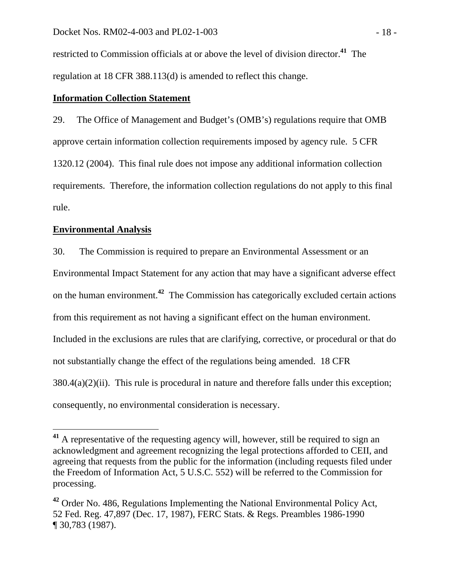restricted to Commission officials at or above the level of division director.**<sup>41</sup>** The regulation at 18 CFR 388.113(d) is amended to reflect this change.

## **Information Collection Statement**

29. The Office of Management and Budget's (OMB's) regulations require that OMB approve certain information collection requirements imposed by agency rule. 5 CFR 1320.12 (2004). This final rule does not impose any additional information collection requirements. Therefore, the information collection regulations do not apply to this final rule.

## **Environmental Analysis**

30. The Commission is required to prepare an Environmental Assessment or an Environmental Impact Statement for any action that may have a significant adverse effect on the human environment.**<sup>42</sup>** The Commission has categorically excluded certain actions from this requirement as not having a significant effect on the human environment. Included in the exclusions are rules that are clarifying, corrective, or procedural or that do not substantially change the effect of the regulations being amended. 18 CFR  $380.4(a)(2)(ii)$ . This rule is procedural in nature and therefore falls under this exception; consequently, no environmental consideration is necessary.

**<sup>41</sup>** A representative of the requesting agency will, however, still be required to sign an acknowledgment and agreement recognizing the legal protections afforded to CEII, and agreeing that requests from the public for the information (including requests filed under the Freedom of Information Act, 5 U.S.C. 552) will be referred to the Commission for processing.

**<sup>42</sup>** Order No. 486, Regulations Implementing the National Environmental Policy Act, 52 Fed. Reg. 47,897 (Dec. 17, 1987), FERC Stats. & Regs. Preambles 1986-1990 ¶ 30,783 (1987).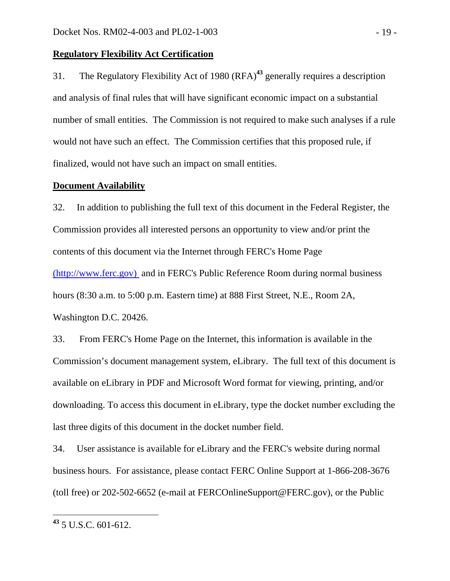### **Regulatory Flexibility Act Certification**

31. The Regulatory Flexibility Act of 1980 (RFA)**<sup>43</sup>** generally requires a description and analysis of final rules that will have significant economic impact on a substantial number of small entities. The Commission is not required to make such analyses if a rule would not have such an effect. The Commission certifies that this proposed rule, if finalized, would not have such an impact on small entities.

#### **Document Availability**

32. In addition to publishing the full text of this document in the Federal Register, the Commission provides all interested persons an opportunity to view and/or print the contents of this document via the Internet through FERC's Home Page (http://www.ferc.gov) and in FERC's Public Reference Room during normal business hours (8:30 a.m. to 5:00 p.m. Eastern time) at 888 First Street, N.E., Room 2A, Washington D.C. 20426.

33. From FERC's Home Page on the Internet, this information is available in the Commission's document management system, eLibrary. The full text of this document is available on eLibrary in PDF and Microsoft Word format for viewing, printing, and/or downloading. To access this document in eLibrary, type the docket number excluding the last three digits of this document in the docket number field.

34. User assistance is available for eLibrary and the FERC's website during normal business hours. For assistance, please contact FERC Online Support at 1-866-208-3676 (toll free) or 202-502-6652 (e-mail at FERCOnlineSupport@FERC.gov), or the Public

**<sup>43</sup>** 5 U.S.C. 601-612.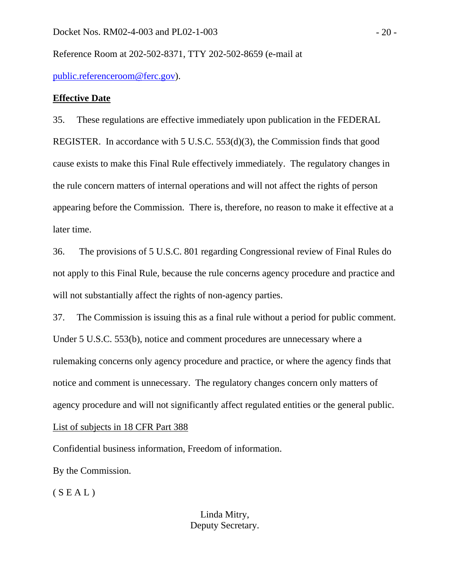Reference Room at 202-502-8371, TTY 202-502-8659 (e-mail at

public.referenceroom@ferc.gov).

### **Effective Date**

35. These regulations are effective immediately upon publication in the FEDERAL REGISTER. In accordance with 5 U.S.C. 553(d)(3), the Commission finds that good cause exists to make this Final Rule effectively immediately. The regulatory changes in the rule concern matters of internal operations and will not affect the rights of person appearing before the Commission. There is, therefore, no reason to make it effective at a later time.

36. The provisions of 5 U.S.C. 801 regarding Congressional review of Final Rules do not apply to this Final Rule, because the rule concerns agency procedure and practice and will not substantially affect the rights of non-agency parties.

37. The Commission is issuing this as a final rule without a period for public comment. Under 5 U.S.C. 553(b), notice and comment procedures are unnecessary where a rulemaking concerns only agency procedure and practice, or where the agency finds that notice and comment is unnecessary. The regulatory changes concern only matters of agency procedure and will not significantly affect regulated entities or the general public.

List of subjects in 18 CFR Part 388

Confidential business information, Freedom of information.

By the Commission.

 $(S E A L)$ 

Linda Mitry, Deputy Secretary.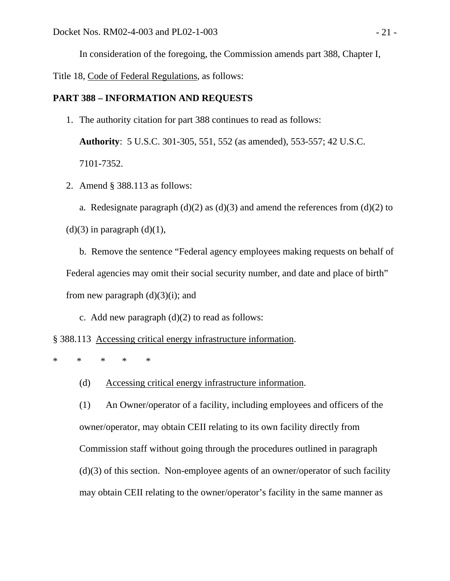In consideration of the foregoing, the Commission amends part 388, Chapter I,

Title 18, Code of Federal Regulations, as follows:

### **PART 388 – INFORMATION AND REQUESTS**

1. The authority citation for part 388 continues to read as follows:

**Authority**: 5 U.S.C. 301-305, 551, 552 (as amended), 553-557; 42 U.S.C. 7101-7352.

2. Amend § 388.113 as follows:

a. Redesignate paragraph (d)(2) as (d)(3) and amend the references from (d)(2) to  $(d)(3)$  in paragraph  $(d)(1)$ ,

 b. Remove the sentence "Federal agency employees making requests on behalf of Federal agencies may omit their social security number, and date and place of birth" from new paragraph  $(d)(3)(i)$ ; and

c. Add new paragraph  $(d)(2)$  to read as follows:

§ 388.113 Accessing critical energy infrastructure information.

\* \* \* \* \*

(d) Accessing critical energy infrastructure information.

(1) An Owner/operator of a facility, including employees and officers of the owner/operator, may obtain CEII relating to its own facility directly from Commission staff without going through the procedures outlined in paragraph (d)(3) of this section. Non-employee agents of an owner/operator of such facility may obtain CEII relating to the owner/operator's facility in the same manner as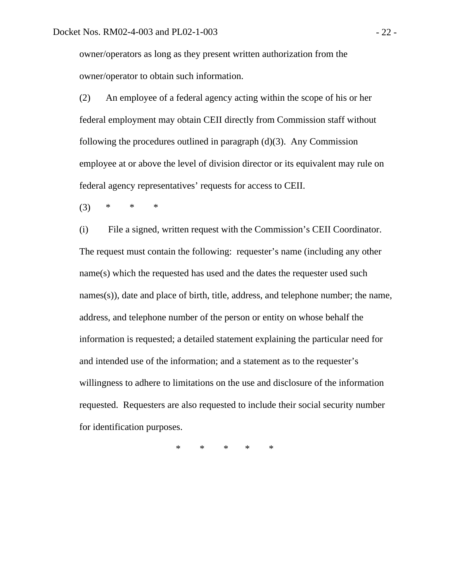owner/operators as long as they present written authorization from the owner/operator to obtain such information.

(2) An employee of a federal agency acting within the scope of his or her federal employment may obtain CEII directly from Commission staff without following the procedures outlined in paragraph (d)(3). Any Commission employee at or above the level of division director or its equivalent may rule on federal agency representatives' requests for access to CEII.

(3) \* \* \*

(i) File a signed, written request with the Commission's CEII Coordinator. The request must contain the following: requester's name (including any other name(s) which the requested has used and the dates the requester used such names(s)), date and place of birth, title, address, and telephone number; the name, address, and telephone number of the person or entity on whose behalf the information is requested; a detailed statement explaining the particular need for and intended use of the information; and a statement as to the requester's willingness to adhere to limitations on the use and disclosure of the information requested. Requesters are also requested to include their social security number for identification purposes.

\* \* \* \* \*